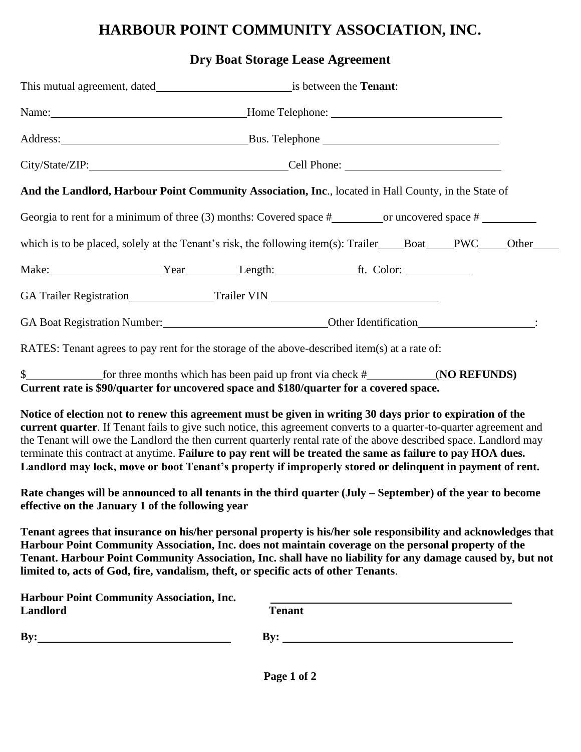## **HARBOUR POINT COMMUNITY ASSOCIATION, INC.**

## **Dry Boat Storage Lease Agreement**

|                                                                     | Name: Mame: Mame: Mame: Mame: Mome Telephone: Mame: Mame: Mame: Mame: Mame: Mame: Mame: Mame: Mame: Mame: Mame: Mame: Mame: Mame: Mame: Mame: Mame: Mame: Mame: Mame: Mame: Mame: Mame: Mame: Mame: Mame: Mame: Mame: Mame: Ma                                                                                                                                                                                                                                                                                                                                                      |
|---------------------------------------------------------------------|-------------------------------------------------------------------------------------------------------------------------------------------------------------------------------------------------------------------------------------------------------------------------------------------------------------------------------------------------------------------------------------------------------------------------------------------------------------------------------------------------------------------------------------------------------------------------------------|
|                                                                     |                                                                                                                                                                                                                                                                                                                                                                                                                                                                                                                                                                                     |
|                                                                     |                                                                                                                                                                                                                                                                                                                                                                                                                                                                                                                                                                                     |
|                                                                     | And the Landlord, Harbour Point Community Association, Inc., located in Hall County, in the State of                                                                                                                                                                                                                                                                                                                                                                                                                                                                                |
|                                                                     |                                                                                                                                                                                                                                                                                                                                                                                                                                                                                                                                                                                     |
|                                                                     | which is to be placed, solely at the Tenant's risk, the following item(s): Trailer____Boat___PWC___Other_                                                                                                                                                                                                                                                                                                                                                                                                                                                                           |
|                                                                     | Make: Year Length: ft. Color:                                                                                                                                                                                                                                                                                                                                                                                                                                                                                                                                                       |
|                                                                     | GA Trailer Registration_____________________Trailer VIN _________________________                                                                                                                                                                                                                                                                                                                                                                                                                                                                                                   |
|                                                                     |                                                                                                                                                                                                                                                                                                                                                                                                                                                                                                                                                                                     |
|                                                                     | RATES: Tenant agrees to pay rent for the storage of the above-described item(s) at a rate of:                                                                                                                                                                                                                                                                                                                                                                                                                                                                                       |
|                                                                     | Current rate is \$90/quarter for uncovered space and \$180/quarter for a covered space.                                                                                                                                                                                                                                                                                                                                                                                                                                                                                             |
|                                                                     | Notice of election not to renew this agreement must be given in writing 30 days prior to expiration of the<br>current quarter. If Tenant fails to give such notice, this agreement converts to a quarter-to-quarter agreement and<br>the Tenant will owe the Landlord the then current quarterly rental rate of the above described space. Landlord may<br>terminate this contract at anytime. Failure to pay rent will be treated the same as failure to pay HOA dues.<br>Landlord may lock, move or boot Tenant's property if improperly stored or delinquent in payment of rent. |
| effective on the January 1 of the following year                    | Rate changes will be announced to all tenants in the third quarter (July – September) of the year to become                                                                                                                                                                                                                                                                                                                                                                                                                                                                         |
|                                                                     | Tenant agrees that insurance on his/her personal property is his/her sole responsibility and acknowledges that<br>Harbour Point Community Association, Inc. does not maintain coverage on the personal property of the<br>Tenant. Harbour Point Community Association, Inc. shall have no liability for any damage caused by, but not<br>limited to, acts of God, fire, vandalism, theft, or specific acts of other Tenants.                                                                                                                                                        |
| <b>Harbour Point Community Association, Inc.</b><br><b>Landlord</b> | <b>Tenant</b>                                                                                                                                                                                                                                                                                                                                                                                                                                                                                                                                                                       |
| $\mathbf{By:}$                                                      | By: $\qquad \qquad$                                                                                                                                                                                                                                                                                                                                                                                                                                                                                                                                                                 |
|                                                                     |                                                                                                                                                                                                                                                                                                                                                                                                                                                                                                                                                                                     |

**Page 1 of 2**